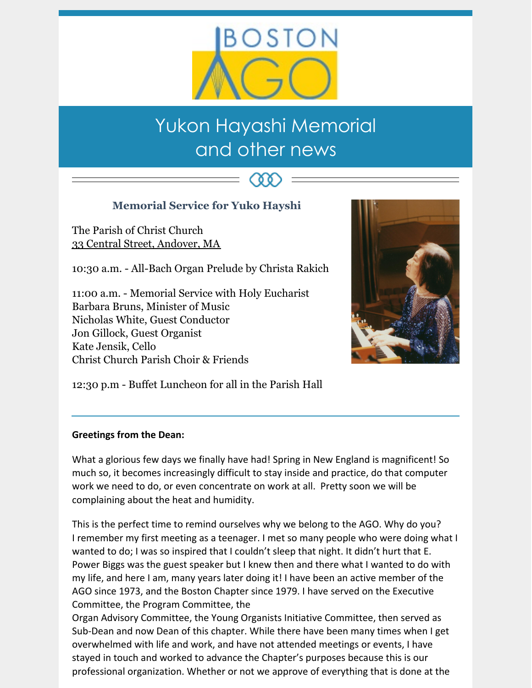

# Yukon Hayashi Memorial and other news

(88)

# **Memorial Service for Yuko Hayshi**

The Parish of Christ Church 33 Central Street, [Andover,](https://maps.google.com/?q=33+Central+Street,+Andover,+MA&entry=gmail&source=g) MA

10:30 a.m. - All-Bach Organ Prelude by Christa Rakich

11:00 a.m. - Memorial Service with Holy Eucharist Barbara Bruns, Minister of Music Nicholas White, Guest Conductor Jon Gillock, Guest Organist Kate Jensik, Cello Christ Church Parish Choir & Friends



12:30 p.m - Buffet Luncheon for all in the Parish Hall

## **Greetings from the Dean:**

What a glorious few days we finally have had! Spring in New England is magnificent! So much so, it becomes increasingly difficult to stay inside and practice, do that computer work we need to do, or even concentrate on work at all. Pretty soon we will be complaining about the heat and humidity.

This is the perfect time to remind ourselves why we belong to the AGO. Why do you? I remember my first meeting as a teenager. I met so many people who were doing what I wanted to do; I was so inspired that I couldn't sleep that night. It didn't hurt that E. Power Biggs was the guest speaker but I knew then and there what I wanted to do with my life, and here I am, many years later doing it! I have been an active member of the AGO since 1973, and the Boston Chapter since 1979. I have served on the Executive Committee, the Program Committee, the

Organ Advisory Committee, the Young Organists Initiative Committee, then served as Sub-Dean and now Dean of this chapter. While there have been many times when I get overwhelmed with life and work, and have not attended meetings or events, I have stayed in touch and worked to advance the Chapter's purposes because this is our professional organization. Whether or not we approve of everything that is done at the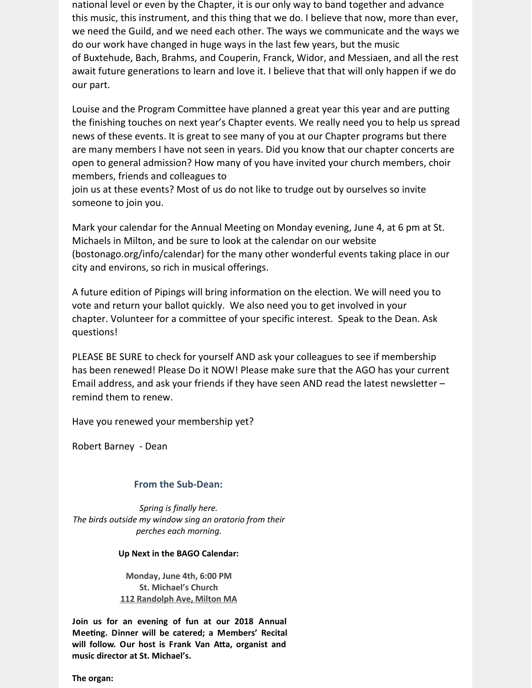national level or even by the Chapter, it is our only way to band together and advance this music, this instrument, and this thing that we do. I believe that now, more than ever, we need the Guild, and we need each other. The ways we communicate and the ways we do our work have changed in huge ways in the last few years, but the music of Buxtehude, Bach, Brahms, and Couperin, Franck, Widor, and Messiaen, and all the rest await future generations to learn and love it. I believe that that will only happen if we do our part.

Louise and the Program Committee have planned a great year this year and are putting the finishing touches on next year's Chapter events. We really need you to help us spread news of these events. It is great to see many of you at our Chapter programs but there are many members I have not seen in years. Did you know that our chapter concerts are open to general admission? How many of you have invited your church members, choir members, friends and colleagues to

join us at these events? Most of us do not like to trudge out by ourselves so invite someone to join you.

Mark your calendar for the Annual Meeting on Monday evening, June 4, at 6 pm at St. Michaels in Milton, and be sure to look at the calendar on our website (bostonago.org/info/calendar) for the many other wonderful events taking place in our city and environs, so rich in musical offerings.

A future edition of Pipings will bring information on the election. We will need you to vote and return your ballot quickly. We also need you to get involved in your chapter. Volunteer for a committee of your specific interest. Speak to the Dean. Ask questions!

PLEASE BE SURE to check for yourself AND ask your colleagues to see if membership has been renewed! Please Do it NOW! Please make sure that the AGO has your current Email address, and ask your friends if they have seen AND read the latest newsletter – remind them to renew.

Have you renewed your membership yet?

Robert Barney - Dean

## **From the Sub-Dean:**

*Spring is finally here. The birds outside my window sing an oratorio from their perches each morning.*

#### **Up Next in the BAGO Calendar:**

**Monday, June 4th, 6:00 PM St. Michael's Church 112 [Randolph](https://maps.google.com/?q=112+Randolph+Ave,+Milton+MA&entry=gmail&source=g) Ave, Milton MA**

**Join us for an evening of fun at our 2018 Annual Meeting. Dinner will be catered; a Members' Recital will follow. Our host is Frank Van A5a, organist and music director at St. Michael's.**

**The organ:**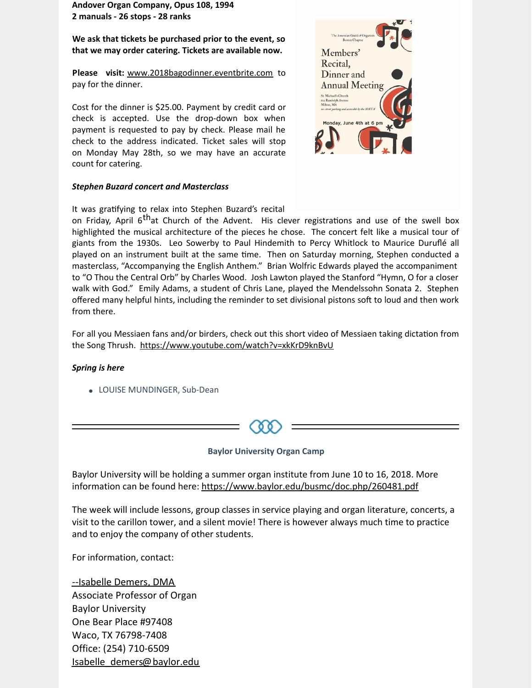**Andover Organ Company, Opus 108, 1994 2 manuals - 26 stops - 28 ranks**

**We ask that 0ckets be purchased prior to the event, so that we may order catering. Tickets are available now.**

**Please visit:** [www.2018bagodinner.eventbrite.com](http://www.2018bagodinner.eventbrite.com/) to pay for the dinner.

Cost for the dinner is \$25.00. Payment by credit card or check is accepted. Use the drop-down box when payment is requested to pay by check. Please mail he check to the address indicated. Ticket sales will stop on Monday May 28th, so we may have an accurate count for catering.

#### *Stephen Buzard concert and Masterclass*



It was gratifying to relax into Stephen Buzard's recital

on Friday, April 6<sup>th</sup>at Church of the Advent. His clever registrations and use of the swell box highlighted the musical architecture of the pieces he chose. The concert felt like a musical tour of giants from the 1930s. Leo Sowerby to Paul Hindemith to Percy Whitlock to Maurice Duruflé all played on an instrument built at the same time. Then on Saturday morning, Stephen conducted a masterclass, "Accompanying the English Anthem." Brian Wolfric Edwards played the accompaniment to "O Thou the Central Orb" by Charles Wood. Josh Lawton played the Stanford "Hymn, O for a closer walk with God." Emily Adams, a student of Chris Lane, played the Mendelssohn Sonata 2. Stephen offered many helpful hints, including the reminder to set divisional pistons soft to loud and then work from there.

For all you Messiaen fans and/or birders, check out this short video of Messiaen taking dictation from the Song Thrush. <https://www.youtube.com/watch?v=xkKrD9knBvU>

#### *Spring is here*

LOUISE MUNDINGER, Sub-Dean



#### **Baylor University Organ Camp**

Baylor University will be holding a summer organ institute from June 10 to 16, 2018. More information can be found here: <https://www.baylor.edu/busmc/doc.php/260481.pdf>

The week will include lessons, group classes in service playing and organ literature, concerts, a visit to the carillon tower, and a silent movie! There is however always much time to practice and to enjoy the company of other students.

For information, contact:

--Isabelle Demers, DMA Associate Professor of Organ Baylor University One Bear Place #97408 Waco, TX 76798-7408 Office: (254) 710-6509 [Isabelle\\_demers@baylor.edu](mailto:Isabelle_demers@baylor.edu)